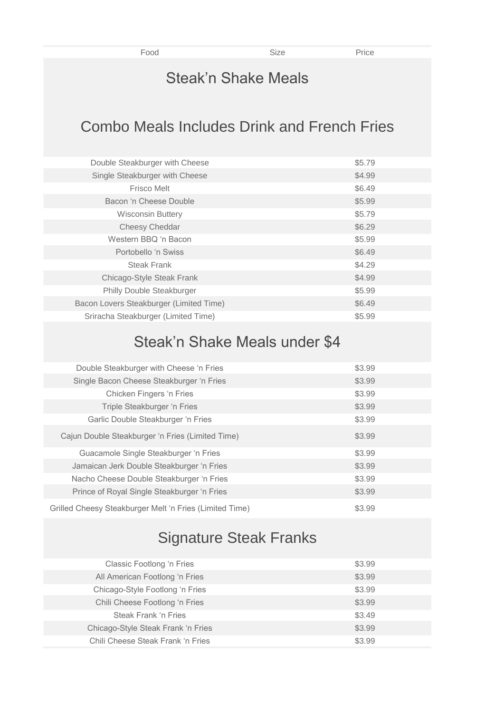Food Size Size Price

### Steak'n Shake Meals

## Combo Meals Includes Drink and French Fries

| Double Steakburger with Cheese          | \$5.79 |
|-----------------------------------------|--------|
| Single Steakburger with Cheese          | \$4.99 |
| <b>Frisco Melt</b>                      | \$6.49 |
| Bacon 'n Cheese Double                  | \$5.99 |
| <b>Wisconsin Buttery</b>                | \$5.79 |
| Cheesy Cheddar                          | \$6.29 |
| Western BBQ 'n Bacon                    | \$5.99 |
| Portobello 'n Swiss                     | \$6.49 |
| Steak Frank                             | \$4.29 |
| Chicago-Style Steak Frank               | \$4.99 |
| Philly Double Steakburger               | \$5.99 |
| Bacon Lovers Steakburger (Limited Time) | \$6.49 |
| Sriracha Steakburger (Limited Time)     | \$5.99 |

## Steak'n Shake Meals under \$4

| Double Steakburger with Cheese 'n Fries                 | \$3.99 |
|---------------------------------------------------------|--------|
| Single Bacon Cheese Steakburger 'n Fries                | \$3.99 |
| Chicken Fingers 'n Fries                                | \$3.99 |
| Triple Steakburger 'n Fries                             | \$3.99 |
| Garlic Double Steakburger 'n Fries                      | \$3.99 |
| Cajun Double Steakburger 'n Fries (Limited Time)        | \$3.99 |
| Guacamole Single Steakburger 'n Fries                   | \$3.99 |
| Jamaican Jerk Double Steakburger 'n Fries               | \$3.99 |
| Nacho Cheese Double Steakburger 'n Fries                | \$3.99 |
| Prince of Royal Single Steakburger 'n Fries             | \$3.99 |
| Grilled Cheesy Steakburger Melt 'n Fries (Limited Time) | \$3.99 |

# Signature Steak Franks

| <b>Classic Footlong 'n Fries</b>   | \$3.99 |
|------------------------------------|--------|
| All American Footlong 'n Fries     | \$3.99 |
| Chicago-Style Footlong 'n Fries    | \$3.99 |
| Chili Cheese Footlong 'n Fries     | \$3.99 |
| Steak Frank 'n Fries               | \$3.49 |
| Chicago-Style Steak Frank 'n Fries | \$3.99 |
| Chili Cheese Steak Frank 'n Fries  | \$3.99 |
|                                    |        |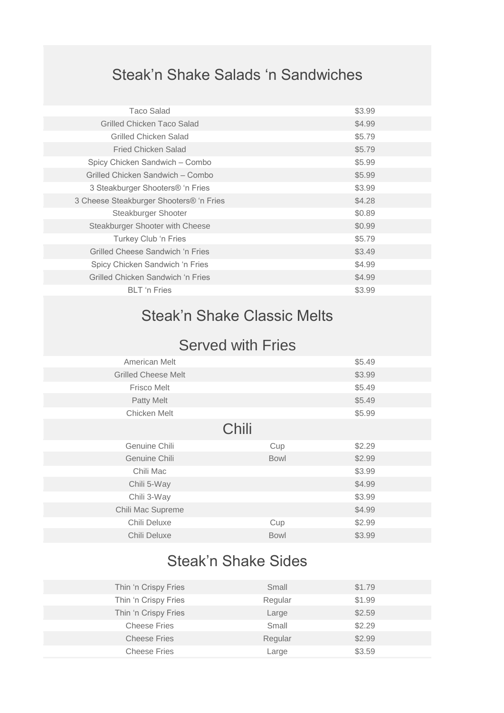# Steak'n Shake Salads 'n Sandwiches

| <b>Taco Salad</b>                            | \$3.99 |
|----------------------------------------------|--------|
| Grilled Chicken Taco Salad                   | \$4.99 |
| <b>Grilled Chicken Salad</b>                 | \$5.79 |
| <b>Fried Chicken Salad</b>                   | \$5.79 |
| Spicy Chicken Sandwich - Combo               | \$5.99 |
| Grilled Chicken Sandwich - Combo             | \$5.99 |
| 3 Steakburger Shooters <sup>®</sup> 'n Fries | \$3.99 |
| 3 Cheese Steakburger Shooters® 'n Fries      | \$4.28 |
| Steakburger Shooter                          | \$0.89 |
| Steakburger Shooter with Cheese              | \$0.99 |
| Turkey Club 'n Fries                         | \$5.79 |
| Grilled Cheese Sandwich 'n Fries             | \$3.49 |
| Spicy Chicken Sandwich 'n Fries              | \$4.99 |
| Grilled Chicken Sandwich 'n Fries            | \$4.99 |
| <b>BLT</b> 'n Fries                          | \$3.99 |
|                                              |        |

# Steak'n Shake Classic Melts

#### Served with Fries

| American Melt              |             | \$5.49 |  |
|----------------------------|-------------|--------|--|
| <b>Grilled Cheese Melt</b> |             | \$3.99 |  |
| <b>Frisco Melt</b>         |             | \$5.49 |  |
| Patty Melt                 |             | \$5.49 |  |
| Chicken Melt               |             | \$5.99 |  |
|                            | Chili       |        |  |
| Genuine Chili              | Cup         | \$2.29 |  |
| Genuine Chili              | <b>Bowl</b> | \$2.99 |  |
| Chili Mac                  |             | \$3.99 |  |
| Chili 5-Way                |             | \$4.99 |  |
| Chili 3-Way                |             | \$3.99 |  |
| Chili Mac Supreme          |             | \$4.99 |  |
| Chili Deluxe               | Cup         | \$2.99 |  |
| Chili Deluxe               | <b>Bowl</b> | \$3.99 |  |

# Steak'n Shake Sides

| Small   | \$1.79 |  |
|---------|--------|--|
| Regular | \$1.99 |  |
| Large   | \$2.59 |  |
| Small   | \$2.29 |  |
| Regular | \$2.99 |  |
| Large   | \$3.59 |  |
|         |        |  |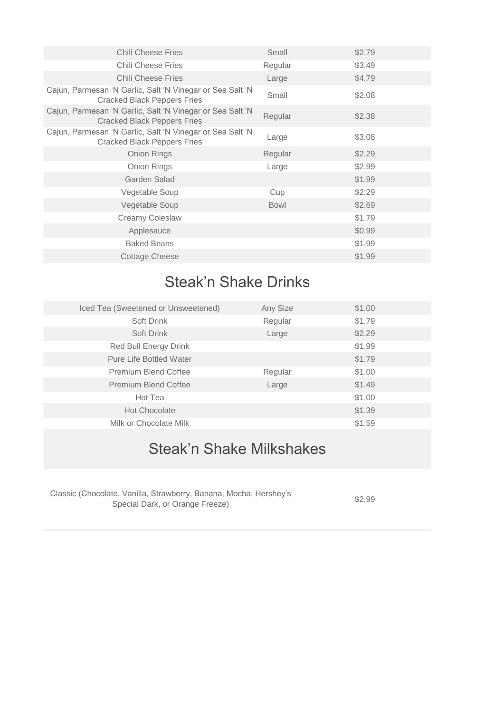| <b>Chili Cheese Fries</b>                                                                       | Small       | \$2.79 |
|-------------------------------------------------------------------------------------------------|-------------|--------|
| <b>Chili Cheese Fries</b>                                                                       | Regular     | \$3.49 |
| <b>Chili Cheese Fries</b>                                                                       | Large       | \$4.79 |
| Cajun, Parmesan 'N Garlic, Salt 'N Vinegar or Sea Salt 'N<br><b>Cracked Black Peppers Fries</b> | Small       | \$2.08 |
| Cajun, Parmesan 'N Garlic, Salt 'N Vinegar or Sea Salt 'N<br><b>Cracked Black Peppers Fries</b> | Regular     | \$2.38 |
| Cajun, Parmesan 'N Garlic, Salt 'N Vinegar or Sea Salt 'N<br>Cracked Black Peppers Fries        | Large       | \$3.08 |
| Onion Rings                                                                                     | Regular     | \$2.29 |
| Onion Rings                                                                                     | Large       | \$2.99 |
| Garden Salad                                                                                    |             | \$1.99 |
| Vegetable Soup                                                                                  | Cup         | \$2.29 |
| Vegetable Soup                                                                                  | <b>Bowl</b> | \$2.69 |
| <b>Creamy Coleslaw</b>                                                                          |             | \$1.79 |
| Applesauce                                                                                      |             | \$0.99 |
| <b>Baked Beans</b>                                                                              |             | \$1.99 |
| Cottage Cheese                                                                                  |             | \$1.99 |

# Steak'n Shake Drinks

| Iced Tea (Sweetened or Unsweetened) | Any Size | \$1.00 |  |
|-------------------------------------|----------|--------|--|
| Soft Drink                          | Regular  | \$1.79 |  |
| Soft Drink                          | Large    | \$2.29 |  |
| Red Bull Energy Drink               |          | \$1.99 |  |
| <b>Pure Life Bottled Water</b>      |          | \$1.79 |  |
| <b>Premium Blend Coffee</b>         | Regular  | \$1.00 |  |
| <b>Premium Blend Coffee</b>         | Large    | \$1.49 |  |
| Hot Tea                             |          | \$1.00 |  |
| <b>Hot Chocolate</b>                |          | \$1.39 |  |
| Milk or Chocolate Milk              |          | \$1.59 |  |

# Steak'n Shake Milkshakes

| Classic (Chocolate, Vanilla, Strawberry, Banana, Mocha, Hershey's |  |
|-------------------------------------------------------------------|--|
| Special Dark, or Orange Freeze)                                   |  |

\$2.99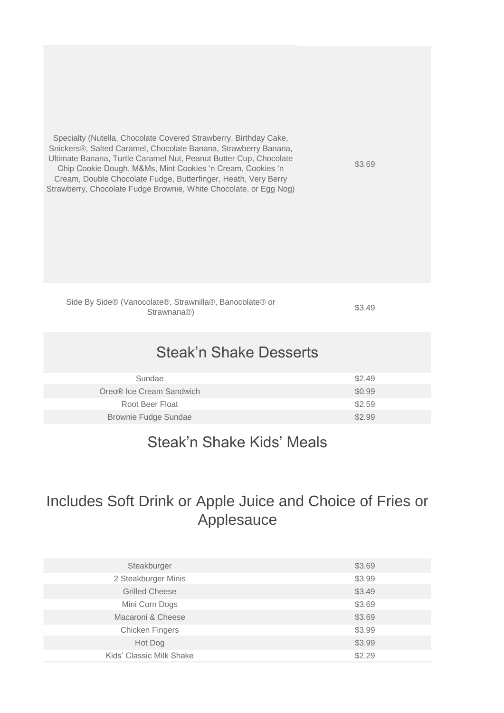Specialty (Nutella, Chocolate Covered Strawberry, Birthday Cake, Snickers®, Salted Caramel, Chocolate Banana, Strawberry Banana, Ultimate Banana, Turtle Caramel Nut, Peanut Butter Cup, Chocolate Chip Cookie Dough, M&Ms, Mint Cookies 'n Cream, Cookies 'n Cream, Double Chocolate Fudge, Butterfinger, Heath, Very Berry Strawberry, Chocolate Fudge Brownie, White Chocolate, or Egg Nog)

\$3.69

Side By Side® (Vanocolate®, Strawnilla®, Banocolate® or Strawnana®)

\$3.49

#### Steak'n Shake Desserts

| Sundae                               | \$2.49 |
|--------------------------------------|--------|
| Oreo <sup>®</sup> Ice Cream Sandwich | \$0.99 |
| Root Beer Float                      | \$2.59 |
| Brownie Fudge Sundae                 | \$2.99 |

#### Steak'n Shake Kids' Meals

#### Includes Soft Drink or Apple Juice and Choice of Fries or Applesauce

| Steakburger              | \$3.69 |
|--------------------------|--------|
| 2 Steakburger Minis      | \$3.99 |
| <b>Grilled Cheese</b>    | \$3.49 |
| Mini Corn Dogs           | \$3.69 |
| Macaroni & Cheese        | \$3.69 |
| <b>Chicken Fingers</b>   | \$3.99 |
| Hot Dog                  | \$3.99 |
| Kids' Classic Milk Shake | \$2.29 |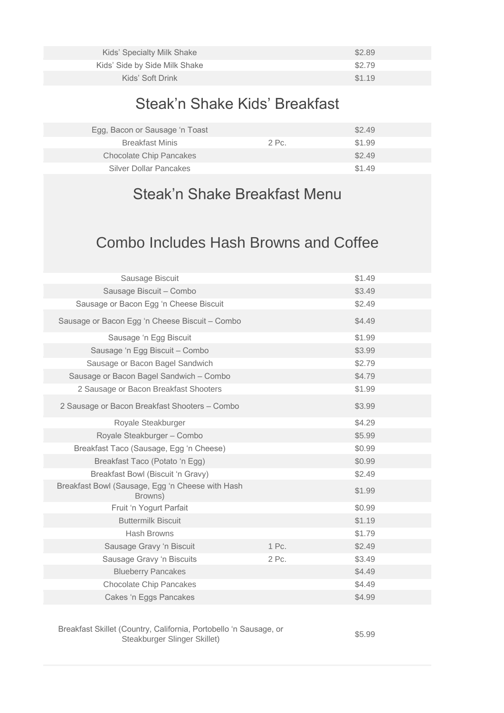| Kids' Specialty Milk Shake    | \$2.89 |
|-------------------------------|--------|
| Kids' Side by Side Milk Shake | \$2.79 |
| Kids' Soft Drink              | \$1.19 |

## Steak'n Shake Kids' Breakfast

| Egg, Bacon or Sausage 'n Toast |       | \$2.49 |  |
|--------------------------------|-------|--------|--|
| <b>Breakfast Minis</b>         | 2 Pc. | \$1.99 |  |
| <b>Chocolate Chip Pancakes</b> |       | \$2.49 |  |
| Silver Dollar Pancakes         |       | \$1.49 |  |
|                                |       |        |  |

## Steak'n Shake Breakfast Menu

#### Combo Includes Hash Browns and Coffee

| Sausage Biscuit                                             |       | \$1.49 |
|-------------------------------------------------------------|-------|--------|
| Sausage Biscuit - Combo                                     |       | \$3.49 |
| Sausage or Bacon Egg 'n Cheese Biscuit                      |       | \$2.49 |
| Sausage or Bacon Egg 'n Cheese Biscuit - Combo              |       | \$4.49 |
| Sausage 'n Egg Biscuit                                      |       | \$1.99 |
| Sausage 'n Egg Biscuit - Combo                              |       | \$3.99 |
| Sausage or Bacon Bagel Sandwich                             |       | \$2.79 |
| Sausage or Bacon Bagel Sandwich - Combo                     |       | \$4.79 |
| 2 Sausage or Bacon Breakfast Shooters                       |       | \$1.99 |
| 2 Sausage or Bacon Breakfast Shooters - Combo               |       | \$3.99 |
| Royale Steakburger                                          |       | \$4.29 |
| Royale Steakburger - Combo                                  |       | \$5.99 |
| Breakfast Taco (Sausage, Egg 'n Cheese)                     |       | \$0.99 |
| Breakfast Taco (Potato 'n Egg)                              |       | \$0.99 |
| Breakfast Bowl (Biscuit 'n Gravy)                           |       | \$2.49 |
| Breakfast Bowl (Sausage, Egg 'n Cheese with Hash<br>Browns) |       | \$1.99 |
| Fruit 'n Yogurt Parfait                                     |       | \$0.99 |
| <b>Buttermilk Biscuit</b>                                   |       | \$1.19 |
| <b>Hash Browns</b>                                          |       | \$1.79 |
| Sausage Gravy 'n Biscuit                                    | 1 Pc. | \$2.49 |
| Sausage Gravy 'n Biscuits                                   | 2 Pc. | \$3.49 |
| <b>Blueberry Pancakes</b>                                   |       | \$4.49 |
| <b>Chocolate Chip Pancakes</b>                              |       | \$4.49 |
| Cakes 'n Eggs Pancakes                                      |       | \$4.99 |

Breakfast Skillet (Country, California, Portobello 'n Sausage, or Steakburger Slinger Skillet)

\$5.99